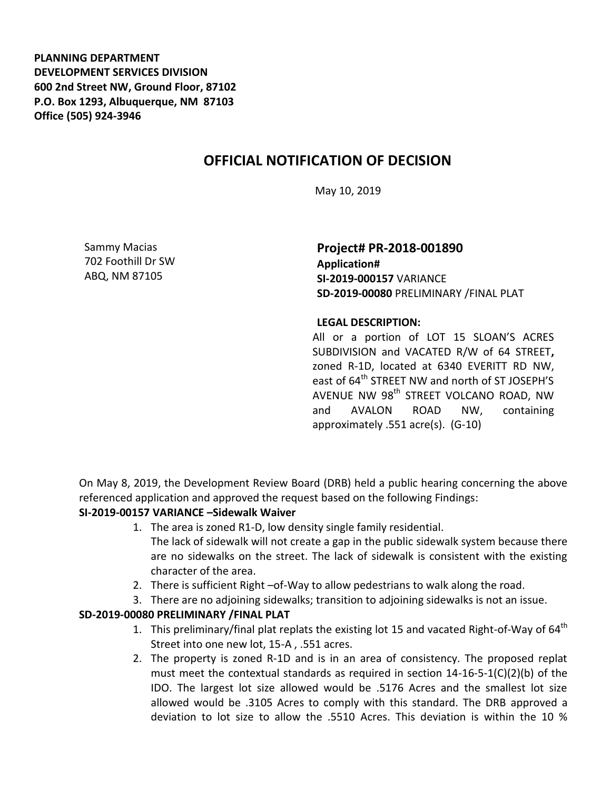**PLANNING DEPARTMENT DEVELOPMENT SERVICES DIVISION 600 2nd Street NW, Ground Floor, 87102 P.O. Box 1293, Albuquerque, NM 87103 Office (505) 924-3946** 

## **OFFICIAL NOTIFICATION OF DECISION**

May 10, 2019

Sammy Macias 702 Foothill Dr SW ABQ, NM 87105

**Project# PR-2018-001890 Application# SI-2019-000157** VARIANCE **SD-2019-00080** PRELIMINARY /FINAL PLAT

## **LEGAL DESCRIPTION:**

All or a portion of LOT 15 SLOAN'S ACRES SUBDIVISION and VACATED R/W of 64 STREET**,**  zoned R-1D, located at 6340 EVERITT RD NW, east of 64<sup>th</sup> STREET NW and north of ST JOSEPH'S AVENUE NW 98<sup>th</sup> STREET VOLCANO ROAD, NW and AVALON ROAD NW, containing approximately .551 acre(s). (G-10)

On May 8, 2019, the Development Review Board (DRB) held a public hearing concerning the above referenced application and approved the request based on the following Findings:

## **SI-2019-00157 VARIANCE –Sidewalk Waiver**

- 1. The area is zoned R1-D, low density single family residential. The lack of sidewalk will not create a gap in the public sidewalk system because there are no sidewalks on the street. The lack of sidewalk is consistent with the existing character of the area.
- 2. There is sufficient Right –of-Way to allow pedestrians to walk along the road.
- 3. There are no adjoining sidewalks; transition to adjoining sidewalks is not an issue.

## **SD-2019-00080 PRELIMINARY /FINAL PLAT**

- 1. This preliminary/final plat replats the existing lot 15 and vacated Right-of-Way of  $64<sup>th</sup>$ Street into one new lot, 15-A , .551 acres.
- 2. The property is zoned R-1D and is in an area of consistency. The proposed replat must meet the contextual standards as required in section  $14-16-5-1(C)(2)(b)$  of the IDO. The largest lot size allowed would be .5176 Acres and the smallest lot size allowed would be .3105 Acres to comply with this standard. The DRB approved a deviation to lot size to allow the .5510 Acres. This deviation is within the 10 %